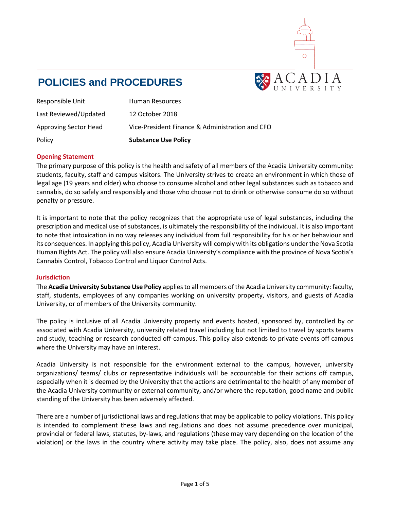

# **POLICIES and PROCEDURES**

| Responsible Unit             | Human Resources                                 |
|------------------------------|-------------------------------------------------|
| Last Reviewed/Updated        | 12 October 2018                                 |
| <b>Approving Sector Head</b> | Vice-President Finance & Administration and CFO |
| Policy                       | <b>Substance Use Policy</b>                     |

## **Opening Statement**

The primary purpose of this policy is the health and safety of all members of the Acadia University community: students, faculty, staff and campus visitors. The University strives to create an environment in which those of legal age (19 years and older) who choose to consume alcohol and other legal substances such as tobacco and cannabis, do so safely and responsibly and those who choose not to drink or otherwise consume do so without penalty or pressure.

It is important to note that the policy recognizes that the appropriate use of legal substances, including the prescription and medical use of substances, is ultimately the responsibility of the individual. It is also important to note that intoxication in no way releases any individual from full responsibility for his or her behaviour and its consequences. In applying this policy, Acadia University will comply with its obligations under the Nova Scotia Human Rights Act. The policy will also ensure Acadia University's compliance with the province of Nova Scotia's Cannabis Control, Tobacco Control and Liquor Control Acts.

#### **Jurisdiction**

The **Acadia University Substance Use Policy** applies to all members of the Acadia University community: faculty, staff, students, employees of any companies working on university property, visitors, and guests of Acadia University, or of members of the University community.

The policy is inclusive of all Acadia University property and events hosted, sponsored by, controlled by or associated with Acadia University, university related travel including but not limited to travel by sports teams and study, teaching or research conducted off-campus. This policy also extends to private events off campus where the University may have an interest.

Acadia University is not responsible for the environment external to the campus, however, university organizations/ teams/ clubs or representative individuals will be accountable for their actions off campus, especially when it is deemed by the University that the actions are detrimental to the health of any member of the Acadia University community or external community, and/or where the reputation, good name and public standing of the University has been adversely affected.

There are a number of jurisdictional laws and regulations that may be applicable to policy violations. This policy is intended to complement these laws and regulations and does not assume precedence over municipal, provincial or federal laws, statutes, by-laws, and regulations (these may vary depending on the location of the violation) or the laws in the country where activity may take place. The policy, also, does not assume any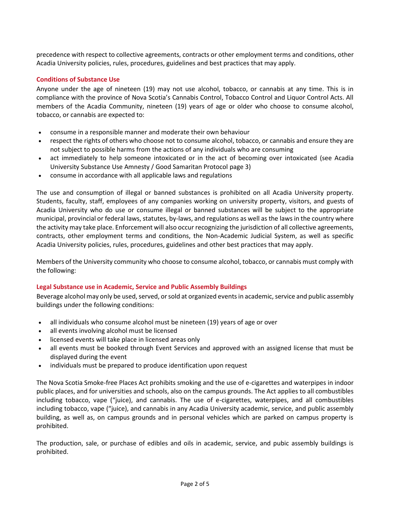precedence with respect to collective agreements, contracts or other employment terms and conditions, other Acadia University policies, rules, procedures, guidelines and best practices that may apply.

## **Conditions of Substance Use**

Anyone under the age of nineteen (19) may not use alcohol, tobacco, or cannabis at any time. This is in compliance with the province of Nova Scotia's Cannabis Control, Tobacco Control and Liquor Control Acts. All members of the Acadia Community, nineteen (19) years of age or older who choose to consume alcohol, tobacco, or cannabis are expected to:

- consume in a responsible manner and moderate their own behaviour
- respect the rights of others who choose not to consume alcohol, tobacco, or cannabis and ensure they are not subject to possible harms from the actions of any individuals who are consuming
- act immediately to help someone intoxicated or in the act of becoming over intoxicated (see Acadia University Substance Use Amnesty / Good Samaritan Protocol page 3)
- consume in accordance with all applicable laws and regulations

The use and consumption of illegal or banned substances is prohibited on all Acadia University property. Students, faculty, staff, employees of any companies working on university property, visitors, and guests of Acadia University who do use or consume illegal or banned substances will be subject to the appropriate municipal, provincial or federal laws, statutes, by-laws, and regulations as well as the laws in the country where the activity may take place. Enforcement will also occur recognizing the jurisdiction of all collective agreements, contracts, other employment terms and conditions, the Non-Academic Judicial System, as well as specific Acadia University policies, rules, procedures, guidelines and other best practices that may apply.

Members of the University community who choose to consume alcohol, tobacco, or cannabis must comply with the following:

## **Legal Substance use in Academic, Service and Public Assembly Buildings**

Beverage alcohol may only be used, served, or sold at organized events in academic, service and public assembly buildings under the following conditions:

- all individuals who consume alcohol must be nineteen (19) years of age or over
- all events involving alcohol must be licensed
- licensed events will take place in licensed areas only
- all events must be booked through Event Services and approved with an assigned license that must be displayed during the event
- individuals must be prepared to produce identification upon request

The Nova Scotia Smoke-free Places Act prohibits smoking and the use of e-cigarettes and waterpipes in indoor public places, and for universities and schools, also on the campus grounds. The Act applies to all combustibles including tobacco, vape ("juice), and cannabis. The use of e-cigarettes, waterpipes, and all combustibles including tobacco, vape ("juice), and cannabis in any Acadia University academic, service, and public assembly building, as well as, on campus grounds and in personal vehicles which are parked on campus property is prohibited.

The production, sale, or purchase of edibles and oils in academic, service, and pubic assembly buildings is prohibited.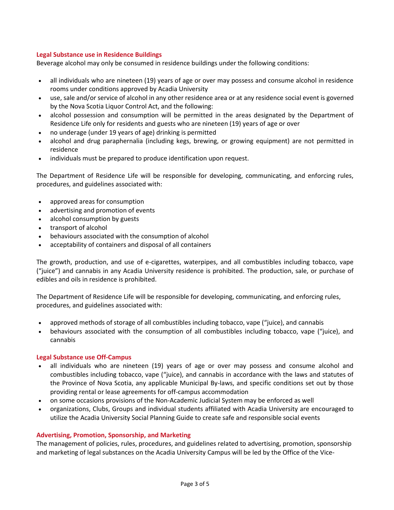## **Legal Substance use in Residence Buildings**

Beverage alcohol may only be consumed in residence buildings under the following conditions:

- all individuals who are nineteen (19) years of age or over may possess and consume alcohol in residence rooms under conditions approved by Acadia University
- use, sale and/or service of alcohol in any other residence area or at any residence social event is governed by the Nova Scotia Liquor Control Act, and the following:
- alcohol possession and consumption will be permitted in the areas designated by the Department of Residence Life only for residents and guests who are nineteen (19) years of age or over
- no underage (under 19 years of age) drinking is permitted
- alcohol and drug paraphernalia (including kegs, brewing, or growing equipment) are not permitted in residence
- individuals must be prepared to produce identification upon request.

The Department of Residence Life will be responsible for developing, communicating, and enforcing rules, procedures, and guidelines associated with:

- approved areas for consumption
- advertising and promotion of events
- alcohol consumption by guests
- transport of alcohol
- behaviours associated with the consumption of alcohol
- acceptability of containers and disposal of all containers

The growth, production, and use of e-cigarettes, waterpipes, and all combustibles including tobacco, vape ("juice") and cannabis in any Acadia University residence is prohibited. The production, sale, or purchase of edibles and oils in residence is prohibited.

The Department of Residence Life will be responsible for developing, communicating, and enforcing rules, procedures, and guidelines associated with:

- approved methods of storage of all combustibles including tobacco, vape ("juice), and cannabis
- behaviours associated with the consumption of all combustibles including tobacco, vape ("juice), and cannabis

## **Legal Substance use Off-Campus**

- all individuals who are nineteen (19) years of age or over may possess and consume alcohol and combustibles including tobacco, vape ("juice), and cannabis in accordance with the laws and statutes of the Province of Nova Scotia, any applicable Municipal By-laws, and specific conditions set out by those providing rental or lease agreements for off-campus accommodation
- on some occasions provisions of the Non-Academic Judicial System may be enforced as well
- organizations, Clubs, Groups and individual students affiliated with Acadia University are encouraged to utilize the Acadia University Social Planning Guide to create safe and responsible social events

## **Advertising, Promotion, Sponsorship, and Marketing**

The management of policies, rules, procedures, and guidelines related to advertising, promotion, sponsorship and marketing of legal substances on the Acadia University Campus will be led by the Office of the Vice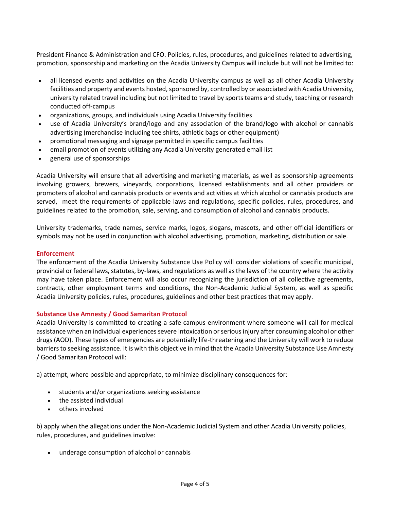President Finance & Administration and CFO. Policies, rules, procedures, and guidelines related to advertising, promotion, sponsorship and marketing on the Acadia University Campus will include but will not be limited to:

- all licensed events and activities on the Acadia University campus as well as all other Acadia University facilities and property and events hosted, sponsored by, controlled by or associated with Acadia University, university related travel including but not limited to travel by sports teams and study, teaching or research conducted off-campus
- organizations, groups, and individuals using Acadia University facilities
- use of Acadia University's brand/logo and any association of the brand/logo with alcohol or cannabis advertising (merchandise including tee shirts, athletic bags or other equipment)
- promotional messaging and signage permitted in specific campus facilities
- email promotion of events utilizing any Acadia University generated email list
- general use of sponsorships

Acadia University will ensure that all advertising and marketing materials, as well as sponsorship agreements involving growers, brewers, vineyards, corporations, licensed establishments and all other providers or promoters of alcohol and cannabis products or events and activities at which alcohol or cannabis products are served, meet the requirements of applicable laws and regulations, specific policies, rules, procedures, and guidelines related to the promotion, sale, serving, and consumption of alcohol and cannabis products.

University trademarks, trade names, service marks, logos, slogans, mascots, and other official identifiers or symbols may not be used in conjunction with alcohol advertising, promotion, marketing, distribution or sale.

#### **Enforcement**

The enforcement of the Acadia University Substance Use Policy will consider violations of specific municipal, provincial or federal laws, statutes, by-laws, and regulations as well as the laws of the country where the activity may have taken place. Enforcement will also occur recognizing the jurisdiction of all collective agreements, contracts, other employment terms and conditions, the Non-Academic Judicial System, as well as specific Acadia University policies, rules, procedures, guidelines and other best practices that may apply.

## **Substance Use Amnesty / Good Samaritan Protocol**

Acadia University is committed to creating a safe campus environment where someone will call for medical assistance when an individual experiences severe intoxication or serious injury after consuming alcohol or other drugs (AOD). These types of emergencies are potentially life-threatening and the University will work to reduce barriers to seeking assistance. It is with this objective in mind that the Acadia University Substance Use Amnesty / Good Samaritan Protocol will:

a) attempt, where possible and appropriate, to minimize disciplinary consequences for:

- students and/or organizations seeking assistance
- the assisted individual
- others involved

b) apply when the allegations under the Non-Academic Judicial System and other Acadia University policies, rules, procedures, and guidelines involve:

underage consumption of alcohol or cannabis